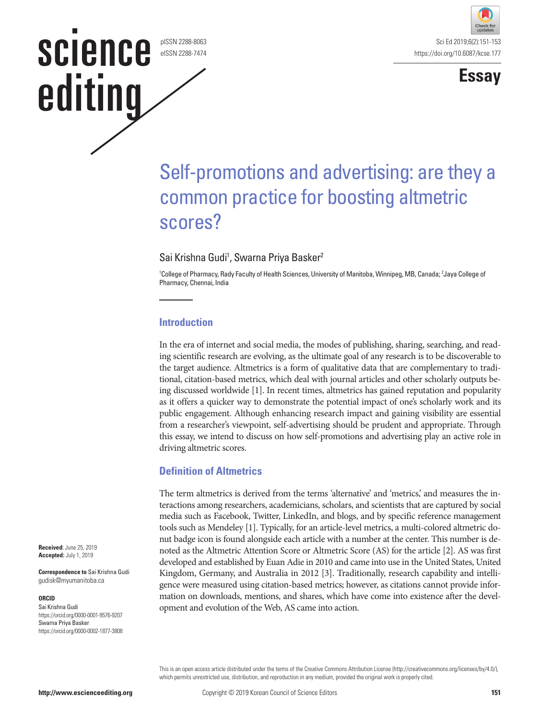#### pISSN 2288-8063 eISSN 2288-7474

**science** 

editing





# Self-promotions and advertising: are they a common practice for boosting altmetric scores?

## Sai Krishna Gudi<sup>1</sup>, Swarna Priya Basker<sup>2</sup>

1 College of Pharmacy, Rady Faculty of Health Sciences, University of Manitoba, Winnipeg, MB, Canada; 2 Jaya College of Pharmacy, Chennai, India

#### **Introduction**

In the era of internet and social media, the modes of publishing, sharing, searching, and reading scientific research are evolving, as the ultimate goal of any research is to be discoverable to the target audience. Altmetrics is a form of qualitative data that are complementary to traditional, citation-based metrics, which deal with journal articles and other scholarly outputs being discussed worldwide [1]. In recent times, altmetrics has gained reputation and popularity as it offers a quicker way to demonstrate the potential impact of one's scholarly work and its public engagement. Although enhancing research impact and gaining visibility are essential from a researcher's viewpoint, self-advertising should be prudent and appropriate. Through this essay, we intend to discuss on how self-promotions and advertising play an active role in driving altmetric scores.

## **Definition of Altmetrics**

The term altmetrics is derived from the terms 'alternative' and 'metrics,' and measures the interactions among researchers, academicians, scholars, and scientists that are captured by social media such as Facebook, Twitter, LinkedIn, and blogs, and by specific reference management tools such as Mendeley [1]. Typically, for an article-level metrics, a multi-colored altmetric donut badge icon is found alongside each article with a number at the center. This number is denoted as the Altmetric Attention Score or Altmetric Score (AS) for the article [2]. AS was first developed and established by Euan Adie in 2010 and came into use in the United States, United Kingdom, Germany, and Australia in 2012 [3]. Traditionally, research capability and intelligence were measured using citation-based metrics; however, as citations cannot provide information on downloads, mentions, and shares, which have come into existence after the development and evolution of the Web, AS came into action.

**Received:** June 25, 2019 **Accepted:** July 1, 2019

**Correspondence to** Sai Krishna Gudi gudisk@myumanitoba.ca

#### **ORCID**

Sai Krishna Gudi https://orcid.org/0000-0001-9576-9207 Swarna Priya Basker https://orcid.org/0000-0002-1877-3808

> This is an open access article distributed under the terms of the Creative Commons Attribution License (http://creativecommons.org/licenses/by/4.0/), which permits unrestricted use, distribution, and reproduction in any medium, provided the original work is properly cited.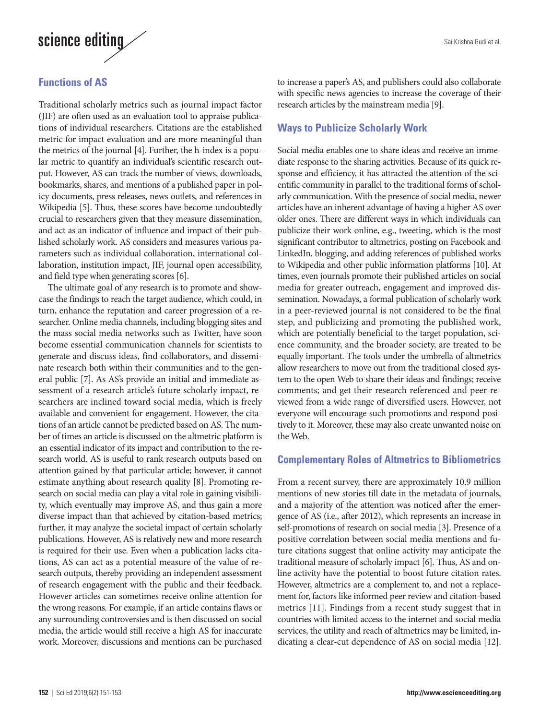

#### **Functions of AS**

Traditional scholarly metrics such as journal impact factor (JIF) are often used as an evaluation tool to appraise publications of individual researchers. Citations are the established metric for impact evaluation and are more meaningful than the metrics of the journal [4]. Further, the h-index is a popular metric to quantify an individual's scientific research output. However, AS can track the number of views, downloads, bookmarks, shares, and mentions of a published paper in policy documents, press releases, news outlets, and references in Wikipedia [5]. Thus, these scores have become undoubtedly crucial to researchers given that they measure dissemination, and act as an indicator of influence and impact of their published scholarly work. AS considers and measures various parameters such as individual collaboration, international collaboration, institution impact, JIF, journal open accessibility, and field type when generating scores [6].

The ultimate goal of any research is to promote and showcase the findings to reach the target audience, which could, in turn, enhance the reputation and career progression of a researcher. Online media channels, including blogging sites and the mass social media networks such as Twitter, have soon become essential communication channels for scientists to generate and discuss ideas, find collaborators, and disseminate research both within their communities and to the general public [7]. As AS's provide an initial and immediate assessment of a research article's future scholarly impact, researchers are inclined toward social media, which is freely available and convenient for engagement. However, the citations of an article cannot be predicted based on AS. The number of times an article is discussed on the altmetric platform is an essential indicator of its impact and contribution to the research world. AS is useful to rank research outputs based on attention gained by that particular article; however, it cannot estimate anything about research quality [8]. Promoting research on social media can play a vital role in gaining visibility, which eventually may improve AS, and thus gain a more diverse impact than that achieved by citation-based metrics; further, it may analyze the societal impact of certain scholarly publications. However, AS is relatively new and more research is required for their use. Even when a publication lacks citations, AS can act as a potential measure of the value of research outputs, thereby providing an independent assessment of research engagement with the public and their feedback. However articles can sometimes receive online attention for the wrong reasons. For example, if an article contains flaws or any surrounding controversies and is then discussed on social media, the article would still receive a high AS for inaccurate work. Moreover, discussions and mentions can be purchased

to increase a paper's AS, and publishers could also collaborate with specific news agencies to increase the coverage of their research articles by the mainstream media [9].

#### **Ways to Publicize Scholarly Work**

Social media enables one to share ideas and receive an immediate response to the sharing activities. Because of its quick response and efficiency, it has attracted the attention of the scientific community in parallel to the traditional forms of scholarly communication. With the presence of social media, newer articles have an inherent advantage of having a higher AS over older ones. There are different ways in which individuals can publicize their work online, e.g., tweeting, which is the most significant contributor to altmetrics, posting on Facebook and LinkedIn, blogging, and adding references of published works to Wikipedia and other public information platforms [10]. At times, even journals promote their published articles on social media for greater outreach, engagement and improved dissemination. Nowadays, a formal publication of scholarly work in a peer-reviewed journal is not considered to be the final step, and publicizing and promoting the published work, which are potentially beneficial to the target population, science community, and the broader society, are treated to be equally important. The tools under the umbrella of altmetrics allow researchers to move out from the traditional closed system to the open Web to share their ideas and findings; receive comments; and get their research referenced and peer-reviewed from a wide range of diversified users. However, not everyone will encourage such promotions and respond positively to it. Moreover, these may also create unwanted noise on the Web.

#### **Complementary Roles of Altmetrics to Bibliometrics**

From a recent survey, there are approximately 10.9 million mentions of new stories till date in the metadata of journals, and a majority of the attention was noticed after the emergence of AS (i.e., after 2012), which represents an increase in self-promotions of research on social media [3]. Presence of a positive correlation between social media mentions and future citations suggest that online activity may anticipate the traditional measure of scholarly impact [6]. Thus, AS and online activity have the potential to boost future citation rates. However, altmetrics are a complement to, and not a replacement for, factors like informed peer review and citation-based metrics [11]. Findings from a recent study suggest that in countries with limited access to the internet and social media services, the utility and reach of altmetrics may be limited, indicating a clear-cut dependence of AS on social media [12].